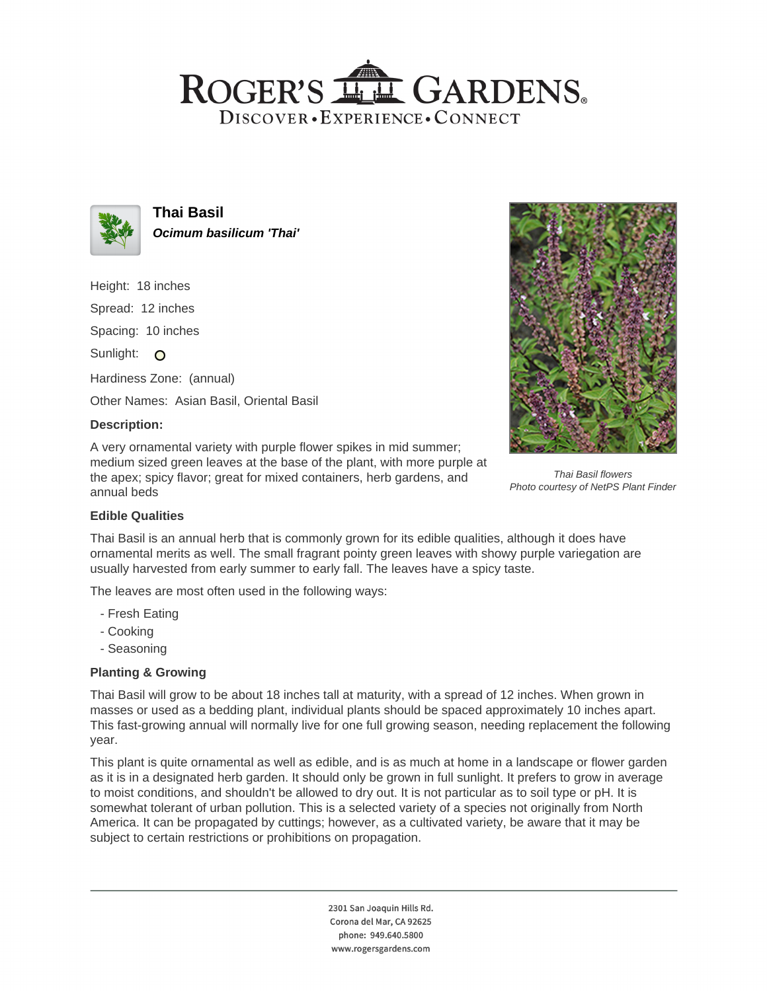## ROGER'S LL GARDENS. DISCOVER · EXPERIENCE · CONNECT



**Thai Basil Ocimum basilicum 'Thai'**

Height: 18 inches

Spread: 12 inches

Spacing: 10 inches

Sunlight: O

Hardiness Zone: (annual)

Other Names: Asian Basil, Oriental Basil

## **Description:**

A very ornamental variety with purple flower spikes in mid summer; medium sized green leaves at the base of the plant, with more purple at the apex; spicy flavor; great for mixed containers, herb gardens, and annual beds



Thai Basil flowers Photo courtesy of NetPS Plant Finder

## **Edible Qualities**

Thai Basil is an annual herb that is commonly grown for its edible qualities, although it does have ornamental merits as well. The small fragrant pointy green leaves with showy purple variegation are usually harvested from early summer to early fall. The leaves have a spicy taste.

The leaves are most often used in the following ways:

- Fresh Eating
- Cooking
- Seasoning

## **Planting & Growing**

Thai Basil will grow to be about 18 inches tall at maturity, with a spread of 12 inches. When grown in masses or used as a bedding plant, individual plants should be spaced approximately 10 inches apart. This fast-growing annual will normally live for one full growing season, needing replacement the following year.

This plant is quite ornamental as well as edible, and is as much at home in a landscape or flower garden as it is in a designated herb garden. It should only be grown in full sunlight. It prefers to grow in average to moist conditions, and shouldn't be allowed to dry out. It is not particular as to soil type or pH. It is somewhat tolerant of urban pollution. This is a selected variety of a species not originally from North America. It can be propagated by cuttings; however, as a cultivated variety, be aware that it may be subject to certain restrictions or prohibitions on propagation.

> 2301 San Joaquin Hills Rd. Corona del Mar, CA 92625 phone: 949.640.5800 www.rogersgardens.com